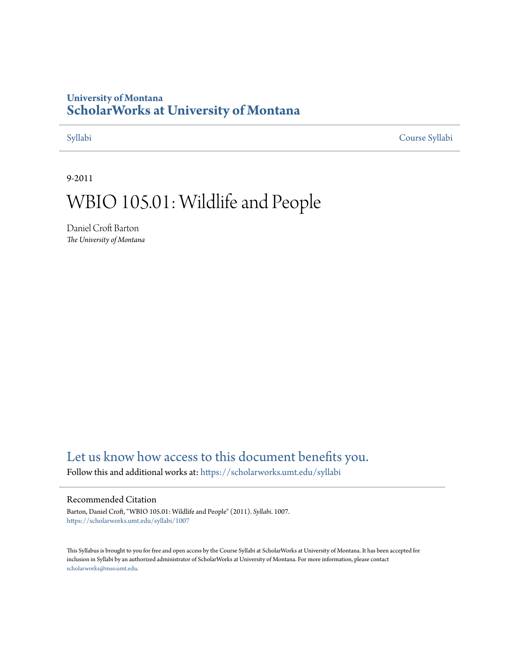# **University of Montana [ScholarWorks at University of Montana](https://scholarworks.umt.edu?utm_source=scholarworks.umt.edu%2Fsyllabi%2F1007&utm_medium=PDF&utm_campaign=PDFCoverPages)**

[Syllabi](https://scholarworks.umt.edu/syllabi?utm_source=scholarworks.umt.edu%2Fsyllabi%2F1007&utm_medium=PDF&utm_campaign=PDFCoverPages) [Course Syllabi](https://scholarworks.umt.edu/course_syllabi?utm_source=scholarworks.umt.edu%2Fsyllabi%2F1007&utm_medium=PDF&utm_campaign=PDFCoverPages)

9-2011

# WBIO 105.01: Wildlife and People

Daniel Croft Barton *The University of Montana*

# [Let us know how access to this document benefits you.](https://goo.gl/forms/s2rGfXOLzz71qgsB2)

Follow this and additional works at: [https://scholarworks.umt.edu/syllabi](https://scholarworks.umt.edu/syllabi?utm_source=scholarworks.umt.edu%2Fsyllabi%2F1007&utm_medium=PDF&utm_campaign=PDFCoverPages)

#### Recommended Citation

Barton, Daniel Croft, "WBIO 105.01: Wildlife and People" (2011). *Syllabi*. 1007. [https://scholarworks.umt.edu/syllabi/1007](https://scholarworks.umt.edu/syllabi/1007?utm_source=scholarworks.umt.edu%2Fsyllabi%2F1007&utm_medium=PDF&utm_campaign=PDFCoverPages)

This Syllabus is brought to you for free and open access by the Course Syllabi at ScholarWorks at University of Montana. It has been accepted for inclusion in Syllabi by an authorized administrator of ScholarWorks at University of Montana. For more information, please contact [scholarworks@mso.umt.edu](mailto:scholarworks@mso.umt.edu).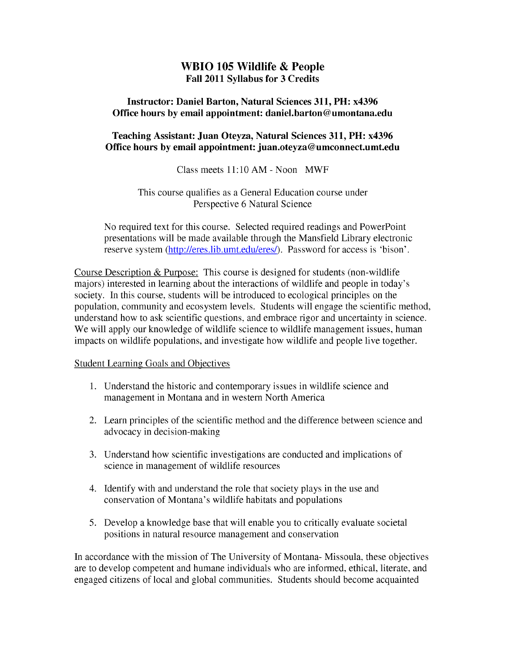# **WBIO 105 Wildlife & People Fall 2011 Syllabus for 3 Credits**

#### **Instructor: Daniel Barton, Natural Sciences 311, PH: x4396 Office hours by email appointment: daniel.barton@umontana.edu**

### **Teaching Assistant: Juan Oteyza, Natural Sciences 311, PH: x4396 Office hours by email appointment: juan.oteyza@umconnect.umt.edu**

### Class meets 11:10 AM - Noon MWF

### This course qualifies as a General Education course under Perspective 6 Natural Science

No required text for this course. Selected required readings and PowerPoint presentations will be made available through the Mansfield Library electronic reserve system (http://eres.lib.umt.edu/eres/). Password for access is 'bison'.

Course Description & Purpose: This course is designed for students (non-wildlife majors) interested in learning about the interactions of wildlife and people in today's society. In this course, students will be introduced to ecological principles on the population, community and ecosystem levels. Students will engage the scientific method, understand how to ask scientific questions, and embrace rigor and uncertainty in science. We will apply our knowledge of wildlife science to wildlife management issues, human impacts on wildlife populations, and investigate how wildlife and people live together.

### Student Learning Goals and Objectives

- 1. Understand the historic and contemporary issues in wildlife science and management in Montana and in western North America
- 2. Learn principles of the scientific method and the difference between science and advocacy in decision-making
- 3. Understand how scientific investigations are conducted and implications of science in management of wildlife resources
- 4. Identify with and understand the role that society plays in the use and conservation of Montana's wildlife habitats and populations
- 5. Develop a knowledge base that will enable you to critically evaluate societal positions in natural resource management and conservation

In accordance with the mission of The University of Montana- Missoula, these objectives are to develop competent and humane individuals who are informed, ethical, literate, and engaged citizens of local and global communities. Students should become acquainted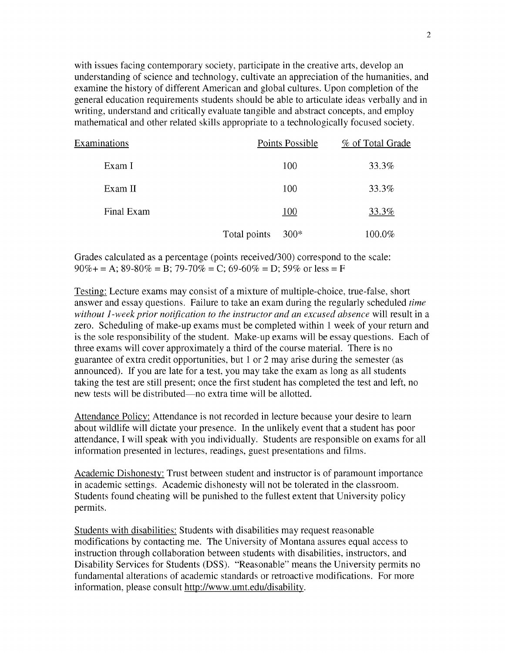with issues facing contemporary society, participate in the creative arts, develop an understanding of science and technology, cultivate an appreciation of the humanities, and examine the history of different American and global cultures. Upon completion of the general education requirements students should be able to articulate ideas verbally and in writing, understand and critically evaluate tangible and abstract concepts, and employ mathematical and other related skills appropriate to a technologically focused society.

| Examinations |              | Points Possible | % of Total Grade |
|--------------|--------------|-----------------|------------------|
| Exam I       |              | 100             | 33.3%            |
| Exam II      |              | 100             | 33.3%            |
| Final Exam   |              | 100             | 33.3%            |
|              | Total points | $300*$          | 100.0%           |

Grades calculated as a percentage (points received/300) correspond to the scale:  $90\% +$  = A;  $89-80\%$  = B;  $79-70\%$  = C;  $69-60\%$  = D;  $59\%$  or less = F

Testing: Lecture exams may consist of a mixture of multiple-choice, true-false, short answer and essay questions. Failure to take an exam during the regularly scheduled *time without 1-week prior notification to the instructor and an excused absence* will result in a zero. Scheduling of make-up exams must be completed within 1 week of your return and is the sole responsibility of the student. Make-up exams will be essay questions. Each of three exams will cover approximately a third of the course material. There is no guarantee of extra credit opportunities, but 1 or 2 may arise during the semester (as announced). If you are late for a test, you may take the exam as long as all students taking the test are still present; once the first student has completed the test and left, no new tests will be distributed—no extra time will be allotted.

Attendance Policy: Attendance is not recorded in lecture because your desire to learn about wildlife will dictate your presence. In the unlikely event that a student has poor attendance, I will speak with you individually. Students are responsible on exams for all information presented in lectures, readings, guest presentations and films.

Academic Dishonesty: Tmst between student and instructor is of paramount importance in academic settings. Academic dishonesty will not be tolerated in the classroom. Students found cheating will be punished to the fullest extent that University policy permits.

Students with disabilities: Students with disabilities may request reasonable modifications by contacting me. The University of Montana assures equal access to instruction through collaboration between students with disabilities, instructors, and Disability Services for Students (DSS). "Reasonable" means the University permits no fundamental alterations of academic standards or retroactive modifications. For more information, please consult http://www.umt.edu/disabilitv.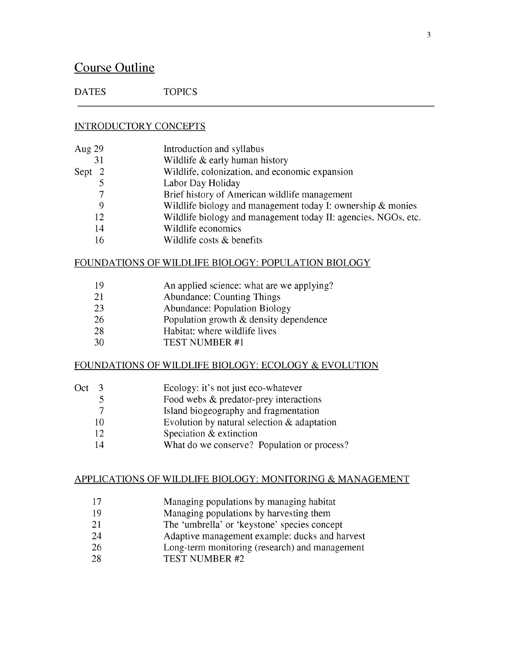# Course Outline

DATES TOPICS

#### INTRODUCTORY CONCEPTS

| Aug 29 | Introduction and syllabus                                      |
|--------|----------------------------------------------------------------|
| 31     | Wildlife & early human history                                 |
| Sept 2 | Wildlife, colonization, and economic expansion                 |
|        | Labor Day Holiday                                              |
|        | Brief history of American wildlife management                  |
| 9      | Wildlife biology and management today I: ownership $\&$ monies |
| 12     | Wildlife biology and management today II: agencies, NGOs, etc. |
| 14     | Wildlife economics                                             |
| 16     | Wildlife costs & benefits                                      |
|        |                                                                |

#### FOUNDATIONS OF WILDLIFE BIOLOGY: POPULATION BIOLOGY

- 19 An applied science: what are we applying?<br>21 Abundance: Counting Things
- Abundance: Counting Things
- 23 Abundance: Population Biology
- 26 Population growth & density dependence
- 28 Habitat: where wildlife lives
- 30 TEST NUMBER #1

#### FOUNDATIONS OF WILDLIFE BIOLOGY: ECOLOGY & EVOLUTION

- Oct 3 Ecology: it's not just eco-whatever
	- 5 Food webs & predator-prey interactions<br>7 Island biogeography and fragmentation
	- Island biogeography and fragmentation
	- 10 Evolution by natural selection & adaptation
	- 12 Speciation & extinction
	- 14 What do we conserve? Population or process?

#### APPLICATIONS OF WILDLIFE BIOLOGY: MONITORING & MANAGEMENT

- 17 Managing populations by managing habitat
- 19 Managing populations by harvesting them
- 21 The 'umbrella' or 'keystone' species concept
- 24 Adaptive management example: ducks and harvest
- 26 Long-term monitoring (research) and management
- 28 TEST NUMBER #2